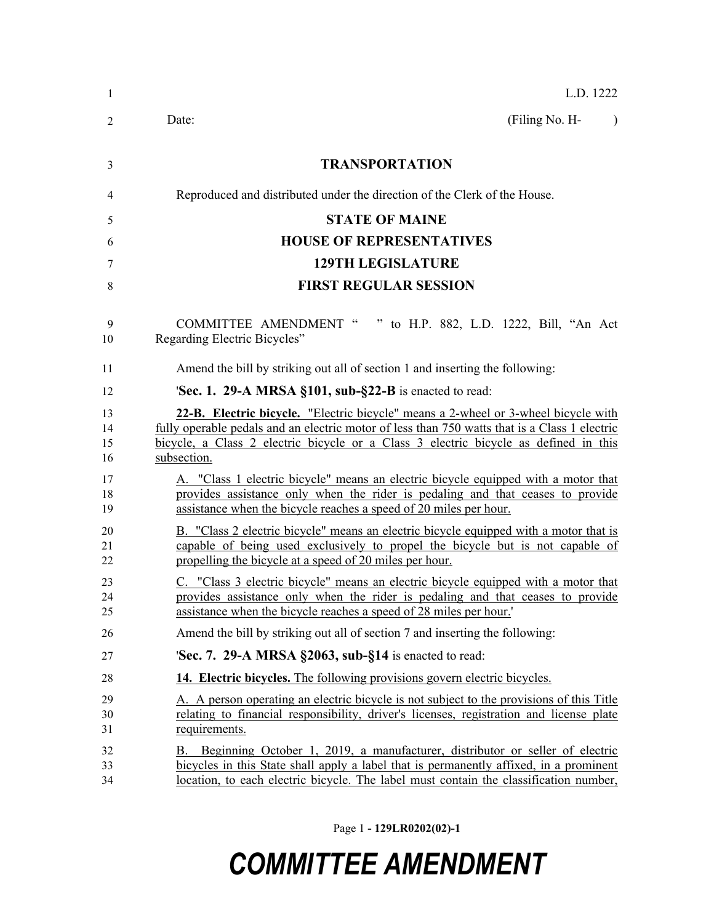| $\mathbf{1}$         | L.D. 1222                                                                                                                                                                                                                                                                                  |
|----------------------|--------------------------------------------------------------------------------------------------------------------------------------------------------------------------------------------------------------------------------------------------------------------------------------------|
| 2                    | (Filing No. H-<br>Date:<br>$\lambda$                                                                                                                                                                                                                                                       |
| 3                    | <b>TRANSPORTATION</b>                                                                                                                                                                                                                                                                      |
| 4                    | Reproduced and distributed under the direction of the Clerk of the House.                                                                                                                                                                                                                  |
| 5                    | <b>STATE OF MAINE</b>                                                                                                                                                                                                                                                                      |
| 6                    | <b>HOUSE OF REPRESENTATIVES</b>                                                                                                                                                                                                                                                            |
| 7                    | <b>129TH LEGISLATURE</b>                                                                                                                                                                                                                                                                   |
| 8                    | <b>FIRST REGULAR SESSION</b>                                                                                                                                                                                                                                                               |
| 9<br>10              | <b>COMMITTEE AMENDMENT "</b><br>" to H.P. 882, L.D. 1222, Bill, "An Act<br>Regarding Electric Bicycles"                                                                                                                                                                                    |
| 11                   | Amend the bill by striking out all of section 1 and inserting the following:                                                                                                                                                                                                               |
| 12                   | <b>Sec. 1. 29-A MRSA §101, sub-§22-B</b> is enacted to read:                                                                                                                                                                                                                               |
| 13<br>14<br>15<br>16 | 22-B. Electric bicycle. "Electric bicycle" means a 2-wheel or 3-wheel bicycle with<br>fully operable pedals and an electric motor of less than 750 watts that is a Class 1 electric<br>bicycle, a Class 2 electric bicycle or a Class 3 electric bicycle as defined in this<br>subsection. |
| 17<br>18<br>19       | A. "Class 1 electric bicycle" means an electric bicycle equipped with a motor that<br>provides assistance only when the rider is pedaling and that ceases to provide<br>assistance when the bicycle reaches a speed of 20 miles per hour.                                                  |
| 20<br>21<br>22       | B. "Class 2 electric bicycle" means an electric bicycle equipped with a motor that is<br>capable of being used exclusively to propel the bicycle but is not capable of<br>propelling the bicycle at a speed of 20 miles per hour.                                                          |
| 23<br>24<br>25       | C. "Class 3 electric bicycle" means an electric bicycle equipped with a motor that<br>provides assistance only when the rider is pedaling and that ceases to provide<br>assistance when the bicycle reaches a speed of 28 miles per hour.'                                                 |
| 26                   | Amend the bill by striking out all of section 7 and inserting the following:                                                                                                                                                                                                               |
| 27                   | 'Sec. 7. 29-A MRSA §2063, sub-§14 is enacted to read:                                                                                                                                                                                                                                      |
| 28                   | 14. Electric bicycles. The following provisions govern electric bicycles.                                                                                                                                                                                                                  |
| 29<br>30<br>31       | A. A person operating an electric bicycle is not subject to the provisions of this Title<br>relating to financial responsibility, driver's licenses, registration and license plate<br>requirements.                                                                                       |
| 32<br>33<br>34       | B. Beginning October 1, 2019, a manufacturer, distributor or seller of electric<br>bicycles in this State shall apply a label that is permanently affixed, in a prominent<br>location, to each electric bicycle. The label must contain the classification number,                         |

Page 1 **- 129LR0202(02)-1**

## *COMMITTEE AMENDMENT*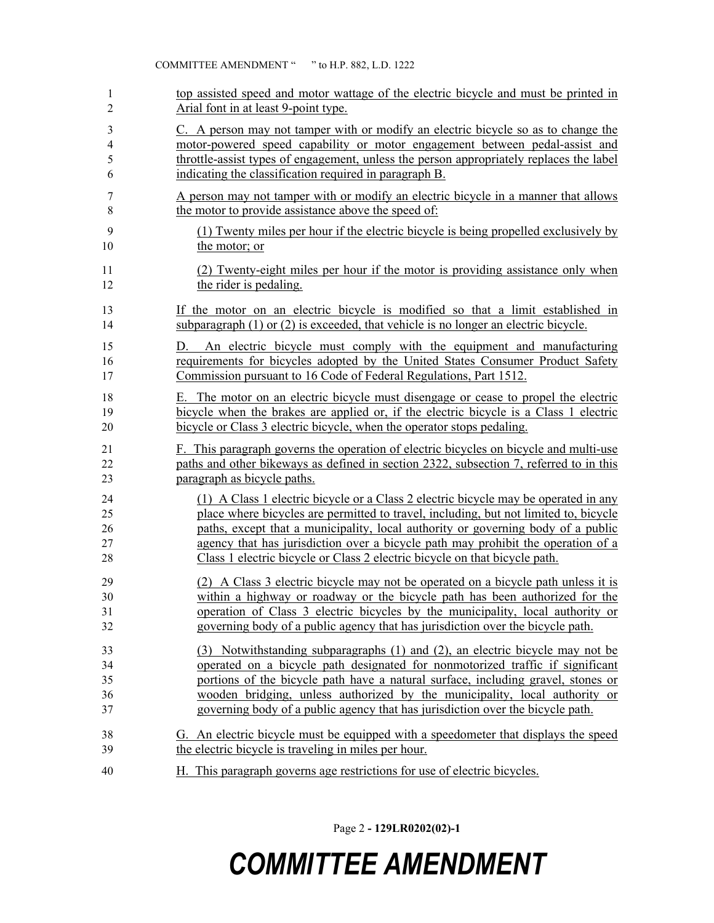| 1                  | top assisted speed and motor wattage of the electric bicycle and must be printed in                                                                                                                                                                                                                                                        |
|--------------------|--------------------------------------------------------------------------------------------------------------------------------------------------------------------------------------------------------------------------------------------------------------------------------------------------------------------------------------------|
| $\overline{2}$     | Arial font in at least 9-point type.                                                                                                                                                                                                                                                                                                       |
| 3                  | C. A person may not tamper with or modify an electric bicycle so as to change the                                                                                                                                                                                                                                                          |
| $\overline{4}$     | motor-powered speed capability or motor engagement between pedal-assist and                                                                                                                                                                                                                                                                |
| 5                  | throttle-assist types of engagement, unless the person appropriately replaces the label                                                                                                                                                                                                                                                    |
| 6                  | indicating the classification required in paragraph B.                                                                                                                                                                                                                                                                                     |
| 7                  | A person may not tamper with or modify an electric bicycle in a manner that allows                                                                                                                                                                                                                                                         |
| $\,$ 8 $\,$        | the motor to provide assistance above the speed of:                                                                                                                                                                                                                                                                                        |
| 9                  | (1) Twenty miles per hour if the electric bicycle is being propelled exclusively by                                                                                                                                                                                                                                                        |
| 10                 | the motor; or                                                                                                                                                                                                                                                                                                                              |
| 11                 | (2) Twenty-eight miles per hour if the motor is providing assistance only when                                                                                                                                                                                                                                                             |
| 12                 | the rider is pedaling.                                                                                                                                                                                                                                                                                                                     |
| 13                 | If the motor on an electric bicycle is modified so that a limit established in                                                                                                                                                                                                                                                             |
| 14                 | subparagraph $(1)$ or $(2)$ is exceeded, that vehicle is no longer an electric bicycle.                                                                                                                                                                                                                                                    |
| 15                 | D. An electric bicycle must comply with the equipment and manufacturing                                                                                                                                                                                                                                                                    |
| 16                 | requirements for bicycles adopted by the United States Consumer Product Safety                                                                                                                                                                                                                                                             |
| 17                 | Commission pursuant to 16 Code of Federal Regulations, Part 1512.                                                                                                                                                                                                                                                                          |
| 18                 | E. The motor on an electric bicycle must disengage or cease to propel the electric                                                                                                                                                                                                                                                         |
| 19                 | bicycle when the brakes are applied or, if the electric bicycle is a Class 1 electric                                                                                                                                                                                                                                                      |
| 20                 | bicycle or Class 3 electric bicycle, when the operator stops pedaling.                                                                                                                                                                                                                                                                     |
| 21                 | F. This paragraph governs the operation of electric bicycles on bicycle and multi-use                                                                                                                                                                                                                                                      |
| 22                 | paths and other bikeways as defined in section 2322, subsection 7, referred to in this                                                                                                                                                                                                                                                     |
| 23                 | paragraph as bicycle paths.                                                                                                                                                                                                                                                                                                                |
| 24<br>25           | (1) A Class 1 electric bicycle or a Class 2 electric bicycle may be operated in any                                                                                                                                                                                                                                                        |
| 26<br>$27\,$<br>28 | place where bicycles are permitted to travel, including, but not limited to, bicycle<br>paths, except that a municipality, local authority or governing body of a public<br>agency that has jurisdiction over a bicycle path may prohibit the operation of a<br>Class 1 electric bicycle or Class 2 electric bicycle on that bicycle path. |
| 29                 | (2) A Class 3 electric bicycle may not be operated on a bicycle path unless it is                                                                                                                                                                                                                                                          |
| 30                 | within a highway or roadway or the bicycle path has been authorized for the                                                                                                                                                                                                                                                                |
| 31                 | operation of Class 3 electric bicycles by the municipality, local authority or                                                                                                                                                                                                                                                             |
| 32                 | governing body of a public agency that has jurisdiction over the bicycle path.                                                                                                                                                                                                                                                             |
| 33                 | (3) Notwithstanding subparagraphs (1) and (2), an electric bicycle may not be                                                                                                                                                                                                                                                              |
| 34                 | operated on a bicycle path designated for nonmotorized traffic if significant                                                                                                                                                                                                                                                              |
| 35                 | portions of the bicycle path have a natural surface, including gravel, stones or                                                                                                                                                                                                                                                           |
| 36                 | wooden bridging, unless authorized by the municipality, local authority or                                                                                                                                                                                                                                                                 |
| 37                 | governing body of a public agency that has jurisdiction over the bicycle path.                                                                                                                                                                                                                                                             |
| 38                 | G. An electric bicycle must be equipped with a speedometer that displays the speed                                                                                                                                                                                                                                                         |
| 39                 | the electric bicycle is traveling in miles per hour.                                                                                                                                                                                                                                                                                       |

Page 2 **- 129LR0202(02)-1**

## *COMMITTEE AMENDMENT*